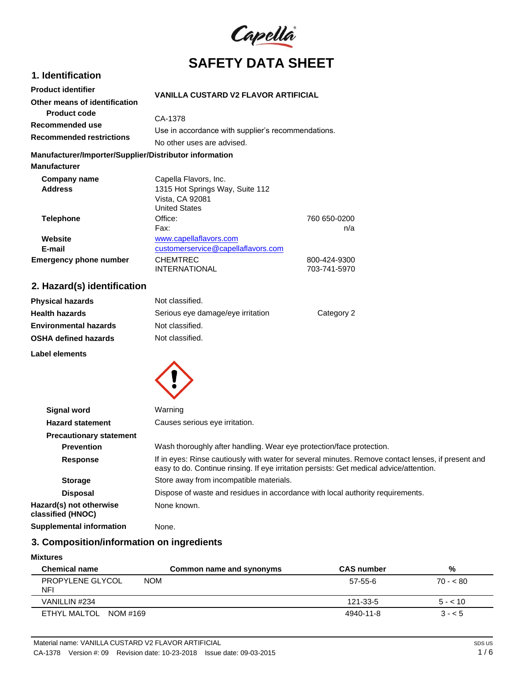

# **1. Identification Product identifier**

| <b>VANILLA CUSTARD V2 FLAVOR ARTIFICIAL</b> |  |
|---------------------------------------------|--|
|                                             |  |

| Other means of identification   | VANILLA GUSTAND VZ FLAVON ANTIFIGIAL               |
|---------------------------------|----------------------------------------------------|
| <b>Product code</b>             | CA-1378                                            |
| Recommended use                 | Use in accordance with supplier's recommendations. |
| <b>Recommended restrictions</b> | No other uses are advised.                         |

### **Manufacturer/Importer/Supplier/Distributor information**

| <b>Manufacturer</b>           |                                    |              |
|-------------------------------|------------------------------------|--------------|
| Company name                  | Capella Flavors, Inc.              |              |
| <b>Address</b>                | 1315 Hot Springs Way, Suite 112    |              |
|                               | Vista, CA 92081                    |              |
|                               | <b>United States</b>               |              |
| <b>Telephone</b>              | Office:                            | 760 650-0200 |
|                               | Fax:                               | n/a          |
| Website                       | www.capellaflavors.com             |              |
| E-mail                        | customerservice@capellaflavors.com |              |
| <b>Emergency phone number</b> | <b>CHEMTREC</b>                    | 800-424-9300 |
|                               | <b>INTERNATIONAL</b>               | 703-741-5970 |

# **2. Hazard(s) identification**

| <b>Physical hazards</b>      | Not classified.                   |            |
|------------------------------|-----------------------------------|------------|
| <b>Health hazards</b>        | Serious eye damage/eye irritation | Category 2 |
| <b>Environmental hazards</b> | Not classified.                   |            |
| <b>OSHA defined hazards</b>  | Not classified.                   |            |
|                              |                                   |            |

**Label elements**



| <b>Signal word</b>                           | Warning                                                                                                                                                                                       |
|----------------------------------------------|-----------------------------------------------------------------------------------------------------------------------------------------------------------------------------------------------|
| <b>Hazard statement</b>                      | Causes serious eye irritation.                                                                                                                                                                |
| <b>Precautionary statement</b>               |                                                                                                                                                                                               |
| <b>Prevention</b>                            | Wash thoroughly after handling. Wear eye protection/face protection.                                                                                                                          |
| <b>Response</b>                              | If in eyes: Rinse cautiously with water for several minutes. Remove contact lenses, if present and<br>easy to do. Continue rinsing. If eye irritation persists: Get medical advice/attention. |
| <b>Storage</b>                               | Store away from incompatible materials.                                                                                                                                                       |
| <b>Disposal</b>                              | Dispose of waste and residues in accordance with local authority requirements.                                                                                                                |
| Hazard(s) not otherwise<br>classified (HNOC) | None known.                                                                                                                                                                                   |
| <b>Supplemental information</b>              | None.                                                                                                                                                                                         |

# **3. Composition/information on ingredients**

#### **Mixtures**

| <b>Chemical name</b>           | Common name and synonyms | <b>CAS number</b> | %         |
|--------------------------------|--------------------------|-------------------|-----------|
| <b>PROPYLENE GLYCOL</b><br>NFI | <b>NOM</b>               | 57-55-6           | $70 - 80$ |
| VANILLIN #234                  |                          | 121-33-5          | $5 - 10$  |
| ETHYL MALTOL NOM #169          |                          | 4940-11-8         | $3 - 5$   |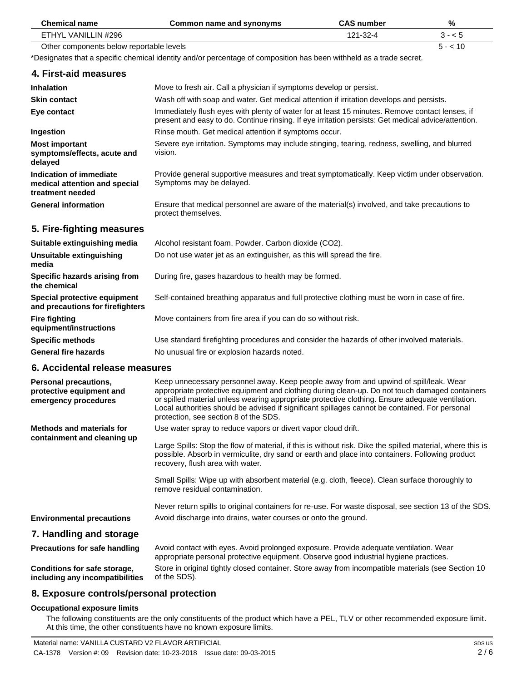| <b>Chemical name</b>                                                                                                | <b>Common name and synonyms</b>                                                                                                                                                                                                                                                                                                                                                                                                        | <b>CAS number</b> | %        |  |
|---------------------------------------------------------------------------------------------------------------------|----------------------------------------------------------------------------------------------------------------------------------------------------------------------------------------------------------------------------------------------------------------------------------------------------------------------------------------------------------------------------------------------------------------------------------------|-------------------|----------|--|
| ETHYL VANILLIN #296                                                                                                 |                                                                                                                                                                                                                                                                                                                                                                                                                                        | 121-32-4          | $3 - 5$  |  |
| Other components below reportable levels                                                                            |                                                                                                                                                                                                                                                                                                                                                                                                                                        |                   | $5 - 10$ |  |
| *Designates that a specific chemical identity and/or percentage of composition has been withheld as a trade secret. |                                                                                                                                                                                                                                                                                                                                                                                                                                        |                   |          |  |
| 4. First-aid measures                                                                                               |                                                                                                                                                                                                                                                                                                                                                                                                                                        |                   |          |  |
| <b>Inhalation</b>                                                                                                   | Move to fresh air. Call a physician if symptoms develop or persist.                                                                                                                                                                                                                                                                                                                                                                    |                   |          |  |
| <b>Skin contact</b>                                                                                                 | Wash off with soap and water. Get medical attention if irritation develops and persists.                                                                                                                                                                                                                                                                                                                                               |                   |          |  |
| Eye contact                                                                                                         | Immediately flush eyes with plenty of water for at least 15 minutes. Remove contact lenses, if<br>present and easy to do. Continue rinsing. If eye irritation persists: Get medical advice/attention.                                                                                                                                                                                                                                  |                   |          |  |
| Ingestion                                                                                                           | Rinse mouth. Get medical attention if symptoms occur.                                                                                                                                                                                                                                                                                                                                                                                  |                   |          |  |
| <b>Most important</b><br>symptoms/effects, acute and<br>delayed                                                     | Severe eye irritation. Symptoms may include stinging, tearing, redness, swelling, and blurred<br>vision.                                                                                                                                                                                                                                                                                                                               |                   |          |  |
| Indication of immediate<br>medical attention and special<br>treatment needed                                        | Provide general supportive measures and treat symptomatically. Keep victim under observation.<br>Symptoms may be delayed.                                                                                                                                                                                                                                                                                                              |                   |          |  |
| <b>General information</b>                                                                                          | Ensure that medical personnel are aware of the material(s) involved, and take precautions to<br>protect themselves.                                                                                                                                                                                                                                                                                                                    |                   |          |  |
| 5. Fire-fighting measures                                                                                           |                                                                                                                                                                                                                                                                                                                                                                                                                                        |                   |          |  |
| Suitable extinguishing media                                                                                        | Alcohol resistant foam. Powder. Carbon dioxide (CO2).                                                                                                                                                                                                                                                                                                                                                                                  |                   |          |  |
| Unsuitable extinguishing<br>media                                                                                   | Do not use water jet as an extinguisher, as this will spread the fire.                                                                                                                                                                                                                                                                                                                                                                 |                   |          |  |
| Specific hazards arising from<br>the chemical                                                                       | During fire, gases hazardous to health may be formed.                                                                                                                                                                                                                                                                                                                                                                                  |                   |          |  |
| Special protective equipment<br>and precautions for firefighters                                                    | Self-contained breathing apparatus and full protective clothing must be worn in case of fire.                                                                                                                                                                                                                                                                                                                                          |                   |          |  |
| <b>Fire fighting</b><br>equipment/instructions                                                                      | Move containers from fire area if you can do so without risk.                                                                                                                                                                                                                                                                                                                                                                          |                   |          |  |
| <b>Specific methods</b>                                                                                             | Use standard firefighting procedures and consider the hazards of other involved materials.                                                                                                                                                                                                                                                                                                                                             |                   |          |  |
| <b>General fire hazards</b>                                                                                         | No unusual fire or explosion hazards noted.                                                                                                                                                                                                                                                                                                                                                                                            |                   |          |  |
| 6. Accidental release measures                                                                                      |                                                                                                                                                                                                                                                                                                                                                                                                                                        |                   |          |  |
| <b>Personal precautions,</b><br>protective equipment and<br>emergency procedures                                    | Keep unnecessary personnel away. Keep people away from and upwind of spill/leak. Wear<br>appropriate protective equipment and clothing during clean-up. Do not touch damaged containers<br>or spilled material unless wearing appropriate protective clothing. Ensure adequate ventilation.<br>Local authorities should be advised if significant spillages cannot be contained. For personal<br>protection, see section 8 of the SDS. |                   |          |  |
| <b>Methods and materials for</b>                                                                                    | Use water spray to reduce vapors or divert vapor cloud drift.                                                                                                                                                                                                                                                                                                                                                                          |                   |          |  |
| containment and cleaning up                                                                                         | Large Spills: Stop the flow of material, if this is without risk. Dike the spilled material, where this is<br>possible. Absorb in vermiculite, dry sand or earth and place into containers. Following product<br>recovery, flush area with water.                                                                                                                                                                                      |                   |          |  |
|                                                                                                                     | Small Spills: Wipe up with absorbent material (e.g. cloth, fleece). Clean surface thoroughly to<br>remove residual contamination.                                                                                                                                                                                                                                                                                                      |                   |          |  |
|                                                                                                                     | Never return spills to original containers for re-use. For waste disposal, see section 13 of the SDS.                                                                                                                                                                                                                                                                                                                                  |                   |          |  |
| <b>Environmental precautions</b>                                                                                    | Avoid discharge into drains, water courses or onto the ground.                                                                                                                                                                                                                                                                                                                                                                         |                   |          |  |
| 7. Handling and storage                                                                                             |                                                                                                                                                                                                                                                                                                                                                                                                                                        |                   |          |  |
| <b>Precautions for safe handling</b>                                                                                | Avoid contact with eyes. Avoid prolonged exposure. Provide adequate ventilation. Wear<br>appropriate personal protective equipment. Observe good industrial hygiene practices.                                                                                                                                                                                                                                                         |                   |          |  |
| Conditions for safe storage,<br>including any incompatibilities                                                     | Store in original tightly closed container. Store away from incompatible materials (see Section 10<br>of the SDS).                                                                                                                                                                                                                                                                                                                     |                   |          |  |

# **8. Exposure controls/personal protection**

### **Occupational exposure limits**

The following constituents are the only constituents of the product which have a PEL, TLV or other recommended exposure limit. At this time, the other constituents have no known exposure limits.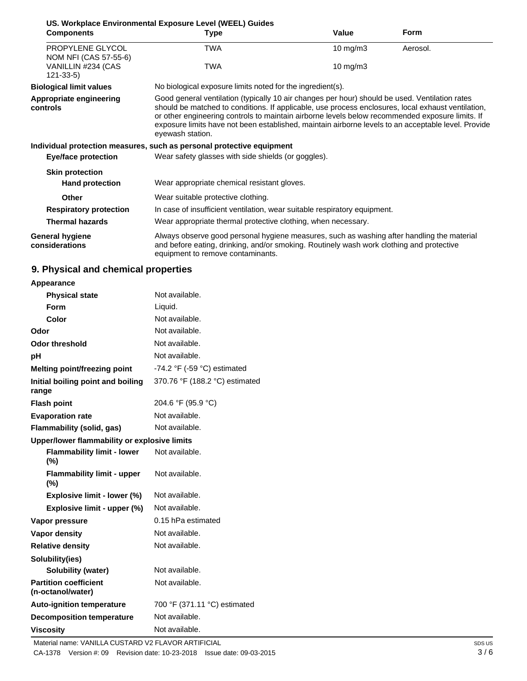|                                           | US. Workplace Environmental Exposure Level (WEEL) Guides                                                                                                                                                                                                                                                                                                                                                                           |             |             |
|-------------------------------------------|------------------------------------------------------------------------------------------------------------------------------------------------------------------------------------------------------------------------------------------------------------------------------------------------------------------------------------------------------------------------------------------------------------------------------------|-------------|-------------|
| <b>Components</b>                         | Type                                                                                                                                                                                                                                                                                                                                                                                                                               | Value       | <b>Form</b> |
| PROPYLENE GLYCOL<br>NOM NFI (CAS 57-55-6) | <b>TWA</b>                                                                                                                                                                                                                                                                                                                                                                                                                         | 10 mg/m $3$ | Aerosol.    |
| VANILLIN #234 (CAS<br>$121 - 33 - 5$      | <b>TWA</b>                                                                                                                                                                                                                                                                                                                                                                                                                         | 10 mg/m $3$ |             |
| <b>Biological limit values</b>            | No biological exposure limits noted for the ingredient(s).                                                                                                                                                                                                                                                                                                                                                                         |             |             |
| Appropriate engineering<br>controls       | Good general ventilation (typically 10 air changes per hour) should be used. Ventilation rates<br>should be matched to conditions. If applicable, use process enclosures, local exhaust ventilation,<br>or other engineering controls to maintain airborne levels below recommended exposure limits. If<br>exposure limits have not been established, maintain airborne levels to an acceptable level. Provide<br>eyewash station. |             |             |
|                                           | Individual protection measures, such as personal protective equipment                                                                                                                                                                                                                                                                                                                                                              |             |             |
| <b>Eye/face protection</b>                | Wear safety glasses with side shields (or goggles).                                                                                                                                                                                                                                                                                                                                                                                |             |             |
| <b>Skin protection</b>                    |                                                                                                                                                                                                                                                                                                                                                                                                                                    |             |             |
| <b>Hand protection</b>                    | Wear appropriate chemical resistant gloves.                                                                                                                                                                                                                                                                                                                                                                                        |             |             |
| <b>Other</b>                              | Wear suitable protective clothing.                                                                                                                                                                                                                                                                                                                                                                                                 |             |             |
| <b>Respiratory protection</b>             | In case of insufficient ventilation, wear suitable respiratory equipment.                                                                                                                                                                                                                                                                                                                                                          |             |             |
| <b>Thermal hazards</b>                    | Wear appropriate thermal protective clothing, when necessary.                                                                                                                                                                                                                                                                                                                                                                      |             |             |
| <b>General hygiene</b><br>considerations  | Always observe good personal hygiene measures, such as washing after handling the material<br>and before eating, drinking, and/or smoking. Routinely wash work clothing and protective<br>equipment to remove contaminants.                                                                                                                                                                                                        |             |             |

# **9. Physical and chemical properties**

## **Appearance**

| <b>Physical state</b>                             | Not available.                                |
|---------------------------------------------------|-----------------------------------------------|
| Form                                              | Liquid.                                       |
| Color                                             | Not available.                                |
| Odor                                              | Not available.                                |
| <b>Odor threshold</b>                             | Not available.                                |
| рH                                                | Not available.                                |
| Melting point/freezing point                      | -74.2 $\degree$ F (-59 $\degree$ C) estimated |
| Initial boiling point and boiling<br>range        | 370.76 °F (188.2 °C) estimated                |
| <b>Flash point</b>                                | 204.6 °F (95.9 °C)                            |
| <b>Evaporation rate</b>                           | Not available.                                |
| <b>Flammability (solid, gas)</b>                  | Not available.                                |
| Upper/lower flammability or explosive limits      |                                               |
| <b>Flammability limit - lower</b><br>$(\%)$       | Not available.                                |
| <b>Flammability limit - upper</b><br>$(\% )$      | Not available.                                |
| Explosive limit - lower (%)                       | Not available.                                |
| Explosive limit - upper (%)                       | Not available.                                |
| Vapor pressure                                    | 0.15 hPa estimated                            |
| <b>Vapor density</b>                              | Not available.                                |
| <b>Relative density</b>                           | Not available.                                |
| Solubility(ies)                                   |                                               |
| <b>Solubility (water)</b>                         | Not available.                                |
| <b>Partition coefficient</b><br>(n-octanol/water) | Not available.                                |
| <b>Auto-ignition temperature</b>                  | 700 °F (371.11 °C) estimated                  |
| <b>Decomposition temperature</b>                  | Not available.                                |
| <b>Viscosity</b>                                  | Not available.                                |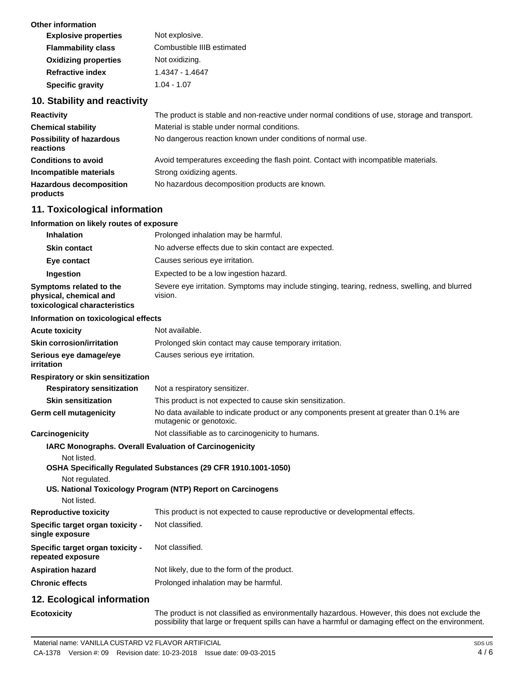| Other information           |                            |
|-----------------------------|----------------------------|
| <b>Explosive properties</b> | Not explosive.             |
| <b>Flammability class</b>   | Combustible IIIB estimated |
| <b>Oxidizing properties</b> | Not oxidizing.             |
| <b>Refractive index</b>     | 1.4347 - 1.4647            |
| <b>Specific gravity</b>     | $1.04 - 1.07$              |

# **10. Stability and reactivity**

| <b>Reactivity</b>                            | The product is stable and non-reactive under normal conditions of use, storage and transport. |
|----------------------------------------------|-----------------------------------------------------------------------------------------------|
| <b>Chemical stability</b>                    | Material is stable under normal conditions.                                                   |
| <b>Possibility of hazardous</b><br>reactions | No dangerous reaction known under conditions of normal use.                                   |
| <b>Conditions to avoid</b>                   | Avoid temperatures exceeding the flash point. Contact with incompatible materials.            |
| Incompatible materials                       | Strong oxidizing agents.                                                                      |
| <b>Hazardous decomposition</b><br>products   | No hazardous decomposition products are known.                                                |

# **11. Toxicological information**

## **Information on likely routes of exposure**

| <b>Inhalation</b>                                                                  | Prolonged inhalation may be harmful.                                                                                |
|------------------------------------------------------------------------------------|---------------------------------------------------------------------------------------------------------------------|
| Skin contact                                                                       | No adverse effects due to skin contact are expected.                                                                |
| Eye contact                                                                        | Causes serious eye irritation.                                                                                      |
| Ingestion                                                                          | Expected to be a low ingestion hazard.                                                                              |
| Symptoms related to the<br>physical, chemical and<br>toxicological characteristics | Severe eye irritation. Symptoms may include stinging, tearing, redness, swelling, and blurred<br>vision.            |
| Information on toxicological effects                                               |                                                                                                                     |
| <b>Acute toxicity</b>                                                              | Not available.                                                                                                      |
| <b>Skin corrosion/irritation</b>                                                   | Prolonged skin contact may cause temporary irritation.                                                              |
| Serious eye damage/eye<br>irritation                                               | Causes serious eye irritation.                                                                                      |
| Respiratory or skin sensitization                                                  |                                                                                                                     |
| <b>Respiratory sensitization</b>                                                   | Not a respiratory sensitizer.                                                                                       |
| <b>Skin sensitization</b>                                                          | This product is not expected to cause skin sensitization.                                                           |
| <b>Germ cell mutagenicity</b>                                                      | No data available to indicate product or any components present at greater than 0.1% are<br>mutagenic or genotoxic. |
| Carcinogenicity                                                                    | Not classifiable as to carcinogenicity to humans.                                                                   |
| IARC Monographs. Overall Evaluation of Carcinogenicity                             |                                                                                                                     |
| Not listed.                                                                        |                                                                                                                     |
|                                                                                    | OSHA Specifically Regulated Substances (29 CFR 1910.1001-1050)                                                      |
| Not regulated.                                                                     | US. National Toxicology Program (NTP) Report on Carcinogens                                                         |
| Not listed.                                                                        |                                                                                                                     |
| <b>Reproductive toxicity</b>                                                       | This product is not expected to cause reproductive or developmental effects.                                        |
| Specific target organ toxicity -<br>single exposure                                | Not classified.                                                                                                     |
| Specific target organ toxicity -<br>repeated exposure                              | Not classified.                                                                                                     |
| <b>Aspiration hazard</b>                                                           | Not likely, due to the form of the product.                                                                         |
| <b>Chronic effects</b>                                                             | Prolonged inhalation may be harmful.                                                                                |
| 12. Ecological information                                                         |                                                                                                                     |
|                                                                                    | and should be a global children and decomposite the back of color of the control of the state of a color of th      |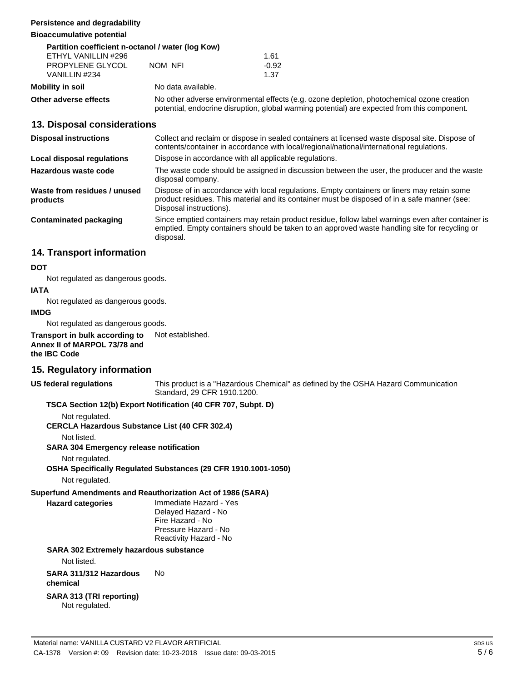### **Persistence and degradability**

#### **Bioaccumulative potential**

| Partition coefficient n-octanol / water (log Kow) |                    |                                                                                                                                                                                            |  |  |
|---------------------------------------------------|--------------------|--------------------------------------------------------------------------------------------------------------------------------------------------------------------------------------------|--|--|
| ETHYL VANILLIN #296                               |                    | 1.61                                                                                                                                                                                       |  |  |
| PROPYLENE GLYCOL                                  | NOM NFI            | $-0.92$                                                                                                                                                                                    |  |  |
| VANILLIN #234                                     |                    | 1.37                                                                                                                                                                                       |  |  |
| Mobility in soil                                  | No data available. |                                                                                                                                                                                            |  |  |
| Other adverse effects                             |                    | No other adverse environmental effects (e.g. ozone depletion, photochemical ozone creation<br>potential, endocrine disruption, global warming potential) are expected from this component. |  |  |

## **13. Disposal considerations**

| <b>Disposal instructions</b>             | Collect and reclaim or dispose in sealed containers at licensed waste disposal site. Dispose of<br>contents/container in accordance with local/regional/national/international regulations.                            |  |
|------------------------------------------|------------------------------------------------------------------------------------------------------------------------------------------------------------------------------------------------------------------------|--|
| Local disposal regulations               | Dispose in accordance with all applicable regulations.                                                                                                                                                                 |  |
| Hazardous waste code                     | The waste code should be assigned in discussion between the user, the producer and the waste<br>disposal company.                                                                                                      |  |
| Waste from residues / unused<br>products | Dispose of in accordance with local regulations. Empty containers or liners may retain some<br>product residues. This material and its container must be disposed of in a safe manner (see:<br>Disposal instructions). |  |
| Contaminated packaging                   | Since emptied containers may retain product residue, follow label warnings even after container is<br>emptied. Empty containers should be taken to an approved waste handling site for recycling or<br>disposal.       |  |

## **14. Transport information**

### **DOT**

Not regulated as dangerous goods.

### **IATA**

Not regulated as dangerous goods.

#### **IMDG**

Not regulated as dangerous goods.

**Transport in bulk according to Annex II of MARPOL 73/78 and the IBC Code** Not established.

## **15. Regulatory information**

**US federal regulations**

This product is a "Hazardous Chemical" as defined by the OSHA Hazard Communication Standard, 29 CFR 1910.1200.

## **TSCA Section 12(b) Export Notification (40 CFR 707, Subpt. D)**

Not regulated.

**CERCLA Hazardous Substance List (40 CFR 302.4)**

Not listed.

**SARA 304 Emergency release notification**

Not regulated.

## **OSHA Specifically Regulated Substances (29 CFR 1910.1001-1050)**

Not regulated.

## **Superfund Amendments and Reauthorization Act of 1986 (SARA)**

**Hazard categories** Immediate Hazard - Yes Delayed Hazard - No Fire Hazard - No Pressure Hazard - No Reactivity Hazard - No

#### **SARA 302 Extremely hazardous substance**

Not listed.

**SARA 311/312 Hazardous** No **chemical**

#### **SARA 313 (TRI reporting)** Not regulated.